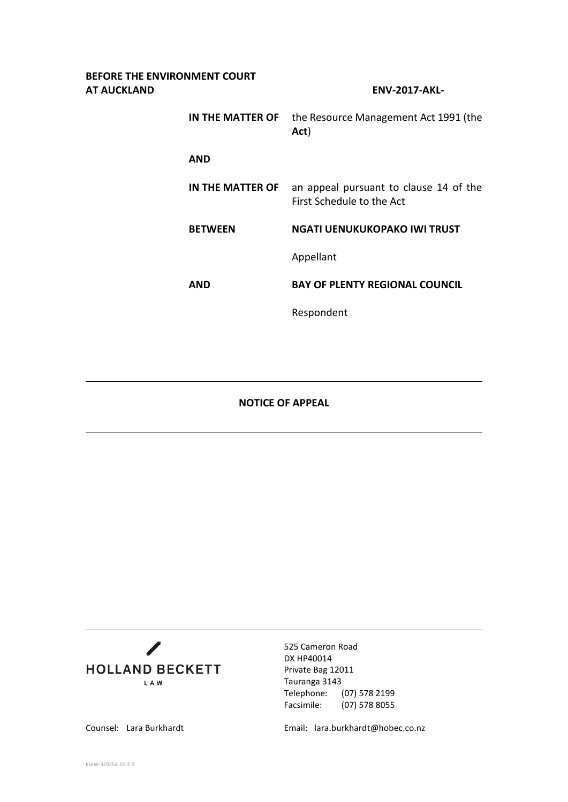# **BEFORE THE ENVIRONMENT COURT AT AUCKLAND ENV-2017-AKL-IN THE MATTER OF** the Resource Management Act 1991 (the **Act**) **AND IN THE MATTER OF** an appeal pursuant to clause 14 of the First Schedule to the Act **BETWEEN NGATI UENUKUKOPAKO IWI TRUST** Appellant **AND BAY OF PLENTY REGIONAL COUNCIL** Respondent

**NOTICE OF APPEAL**



525 Cameron Road DX HP40014 Private Bag 12011 Tauranga 3143 Telephone: (07) 578 2199<br>Facsimile: (07) 578 8055 (07) 578 8055

Counsel: Lara Burkhardt Email: lara.burkhardt@hobec.co.nz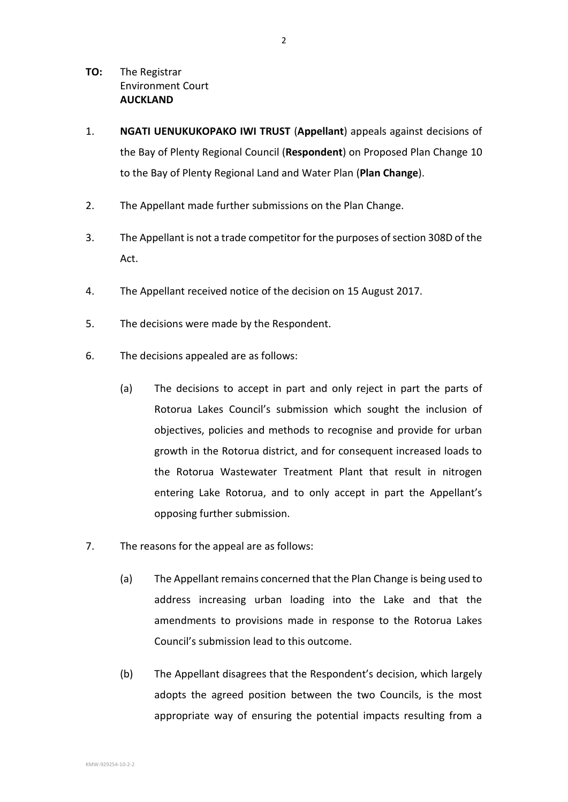- **TO:** The Registrar Environment Court **AUCKLAND**
- 1. **NGATI UENUKUKOPAKO IWI TRUST** (**Appellant**) appeals against decisions of the Bay of Plenty Regional Council (**Respondent**) on Proposed Plan Change 10 to the Bay of Plenty Regional Land and Water Plan (**Plan Change**).
- 2. The Appellant made further submissions on the Plan Change.
- 3. The Appellant is not a trade competitor for the purposes of section 308D of the Act.
- 4. The Appellant received notice of the decision on 15 August 2017.
- 5. The decisions were made by the Respondent.
- 6. The decisions appealed are as follows:
	- (a) The decisions to accept in part and only reject in part the parts of Rotorua Lakes Council's submission which sought the inclusion of objectives, policies and methods to recognise and provide for urban growth in the Rotorua district, and for consequent increased loads to the Rotorua Wastewater Treatment Plant that result in nitrogen entering Lake Rotorua, and to only accept in part the Appellant's opposing further submission.
- 7. The reasons for the appeal are as follows:
	- (a) The Appellant remains concerned that the Plan Change is being used to address increasing urban loading into the Lake and that the amendments to provisions made in response to the Rotorua Lakes Council's submission lead to this outcome.
	- (b) The Appellant disagrees that the Respondent's decision, which largely adopts the agreed position between the two Councils, is the most appropriate way of ensuring the potential impacts resulting from a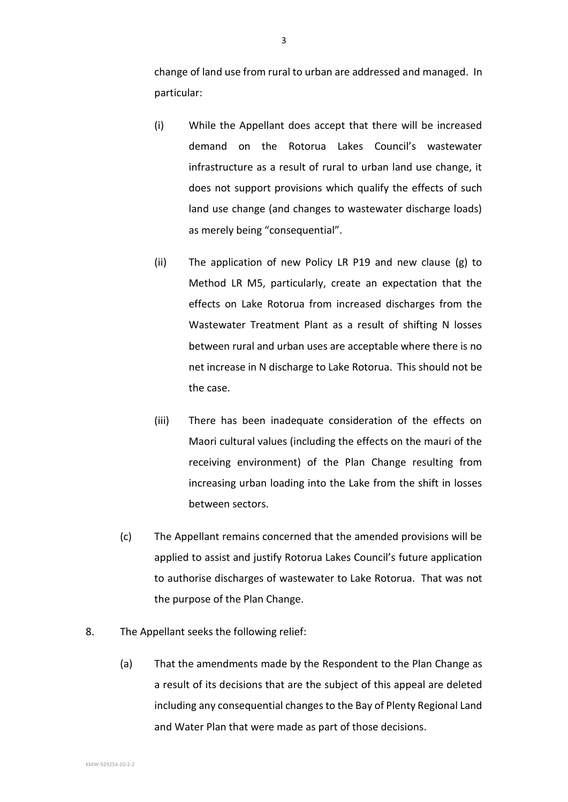change of land use from rural to urban are addressed and managed. In particular:

- (i) While the Appellant does accept that there will be increased demand on the Rotorua Lakes Council's wastewater infrastructure as a result of rural to urban land use change, it does not support provisions which qualify the effects of such land use change (and changes to wastewater discharge loads) as merely being "consequential".
- (ii) The application of new Policy LR P19 and new clause (g) to Method LR M5, particularly, create an expectation that the effects on Lake Rotorua from increased discharges from the Wastewater Treatment Plant as a result of shifting N losses between rural and urban uses are acceptable where there is no net increase in N discharge to Lake Rotorua. This should not be the case.
- (iii) There has been inadequate consideration of the effects on Maori cultural values (including the effects on the mauri of the receiving environment) of the Plan Change resulting from increasing urban loading into the Lake from the shift in losses between sectors.
- (c) The Appellant remains concerned that the amended provisions will be applied to assist and justify Rotorua Lakes Council's future application to authorise discharges of wastewater to Lake Rotorua. That was not the purpose of the Plan Change.
- 8. The Appellant seeks the following relief:
	- (a) That the amendments made by the Respondent to the Plan Change as a result of its decisions that are the subject of this appeal are deleted including any consequential changes to the Bay of Plenty Regional Land and Water Plan that were made as part of those decisions.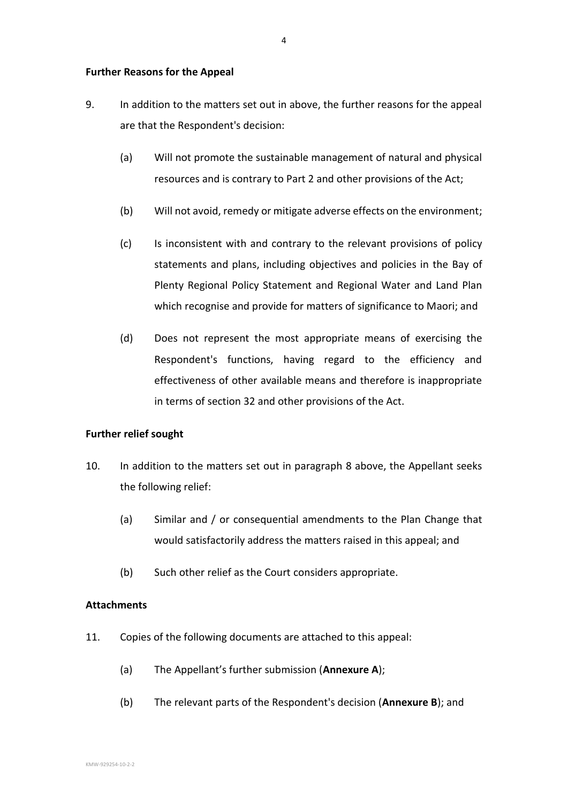#### **Further Reasons for the Appeal**

- 9. In addition to the matters set out in above, the further reasons for the appeal are that the Respondent's decision:
	- (a) Will not promote the sustainable management of natural and physical resources and is contrary to Part 2 and other provisions of the Act;
	- (b) Will not avoid, remedy or mitigate adverse effects on the environment;
	- (c) Is inconsistent with and contrary to the relevant provisions of policy statements and plans, including objectives and policies in the Bay of Plenty Regional Policy Statement and Regional Water and Land Plan which recognise and provide for matters of significance to Maori; and
	- (d) Does not represent the most appropriate means of exercising the Respondent's functions, having regard to the efficiency and effectiveness of other available means and therefore is inappropriate in terms of section 32 and other provisions of the Act.

#### **Further relief sought**

- 10. In addition to the matters set out in paragraph 8 above, the Appellant seeks the following relief:
	- (a) Similar and / or consequential amendments to the Plan Change that would satisfactorily address the matters raised in this appeal; and
	- (b) Such other relief as the Court considers appropriate.

#### **Attachments**

- 11. Copies of the following documents are attached to this appeal:
	- (a) The Appellant's further submission (**Annexure A**);
	- (b) The relevant parts of the Respondent's decision (**Annexure B**); and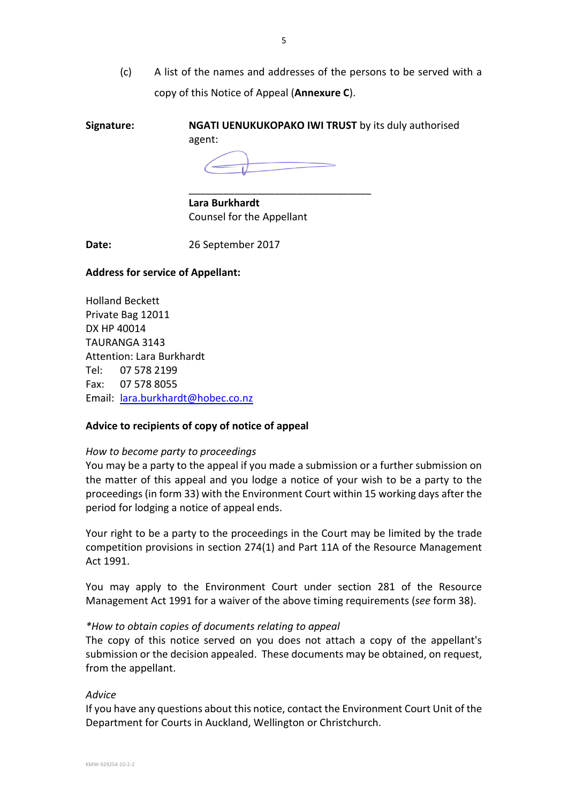(c) A list of the names and addresses of the persons to be served with a copy of this Notice of Appeal (**Annexure C**).

## **Signature: NGATI UENUKUKOPAKO IWI TRUST** by its duly authorised agent:

\_\_\_\_\_\_\_\_\_\_\_\_\_\_\_\_\_\_\_\_\_\_\_\_\_\_\_\_\_\_\_\_

**Lara Burkhardt** Counsel for the Appellant

**Date:** 26 September 2017

## **Address for service of Appellant:**

Holland Beckett Private Bag 12011 DX HP 40014 TAURANGA 3143 Attention: Lara Burkhardt Tel: 07 578 2199 Fax: 07 578 8055 Email: [lara.burkhardt@hobec.co.nz](mailto:lara.burkhardt@hobec.co.nz)

## **Advice to recipients of copy of notice of appeal**

## *How to become party to proceedings*

You may be a party to the appeal if you made a submission or a further submission on the matter of this appeal and you lodge a notice of your wish to be a party to the proceedings (in form 33) with the Environment Court within 15 working days after the period for lodging a notice of appeal ends.

Your right to be a party to the proceedings in the Court may be limited by the trade competition provisions in section 274(1) and Part 11A of the Resource Management Act 1991.

You may apply to the Environment Court under section 281 of the Resource Management Act 1991 for a waiver of the above timing requirements (*see* form 38).

## *\*How to obtain copies of documents relating to appeal*

The copy of this notice served on you does not attach a copy of the appellant's submission or the decision appealed. These documents may be obtained, on request, from the appellant.

## *Advice*

If you have any questions about this notice, contact the Environment Court Unit of the Department for Courts in Auckland, Wellington or Christchurch.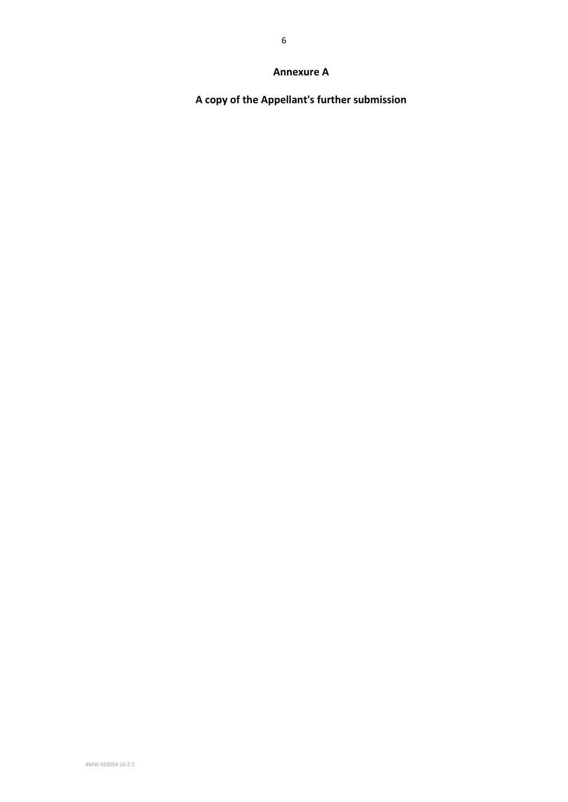## **Annexure A**

**A copy of the Appellant's further submission**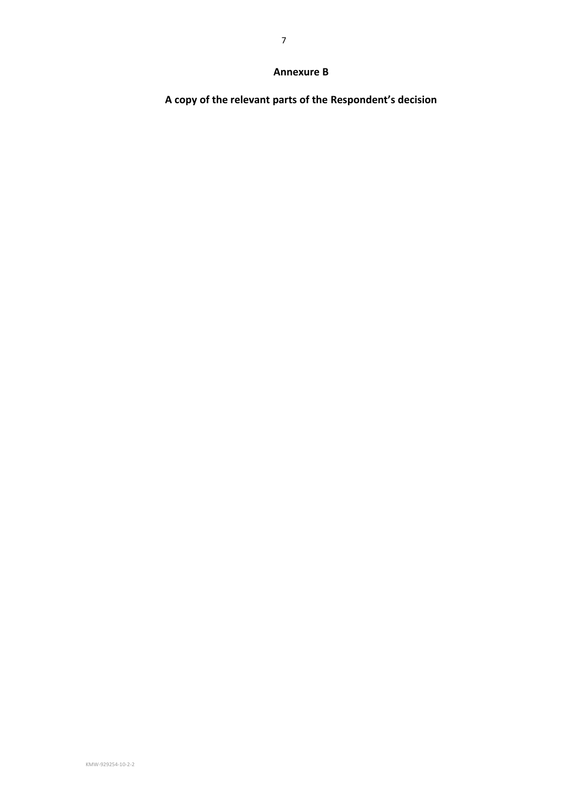## **Annexure B**

**A copy of the relevant parts of the Respondent's decision**